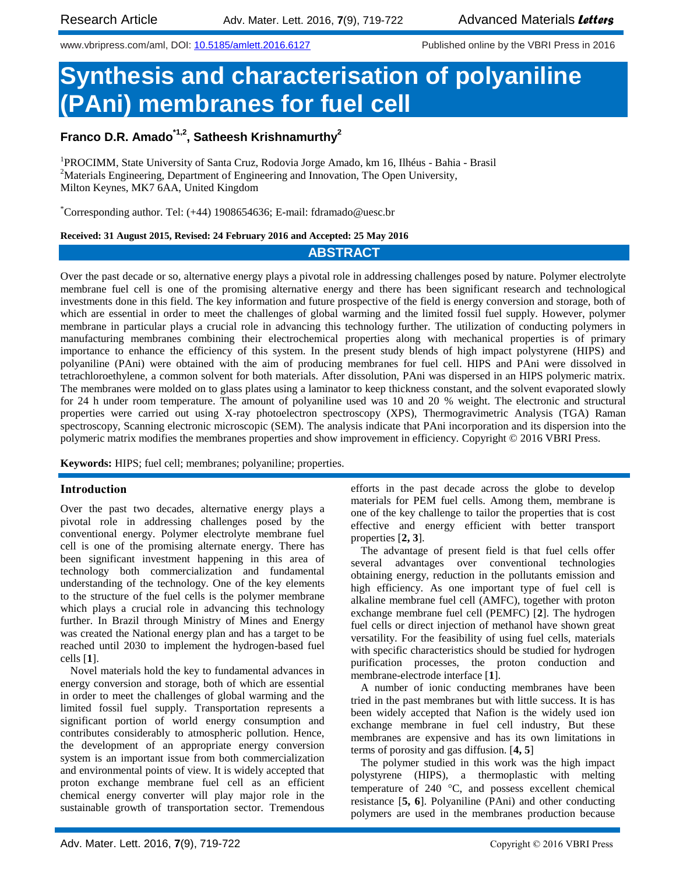www.vbripress.com/aml, DOI: [10.5185/amlett.2016.6127](http://www.dx.doi.org/10.5185/amlett.2016.6127) Published online by the VBRI Press in 2016

# **Synthesis and characterisation of polyaniline (PAni) membranes for fuel cell**

## **Franco D.R. Amado\*1,2, Satheesh Krishnamurthy<sup>2</sup>**

<sup>1</sup>PROCIMM, State University of Santa Cruz, Rodovia Jorge Amado, km 16, Ilhéus - Bahia - Brasil <sup>2</sup>Materials Engineering, Department of Engineering and Innovation, The Open University, Milton Keynes, MK7 6AA, United Kingdom

\*Corresponding author. Tel: (+44) 1908654636; E-mail: fdramado@uesc.br

**Received: 31 August 2015, Revised: 24 February 2016 and Accepted: 25 May 2016**

### **ABSTRACT**

Over the past decade or so, alternative energy plays a pivotal role in addressing challenges posed by nature. Polymer electrolyte membrane fuel cell is one of the promising alternative energy and there has been significant research and technological investments done in this field. The key information and future prospective of the field is energy conversion and storage, both of which are essential in order to meet the challenges of global warming and the limited fossil fuel supply. However, polymer membrane in particular plays a crucial role in advancing this technology further. The utilization of conducting polymers in manufacturing membranes combining their electrochemical properties along with mechanical properties is of primary importance to enhance the efficiency of this system. In the present study blends of high impact polystyrene (HIPS) and polyaniline (PAni) were obtained with the aim of producing membranes for fuel cell. HIPS and PAni were dissolved in tetrachloroethylene, a common solvent for both materials. After dissolution, PAni was dispersed in an HIPS polymeric matrix. The membranes were molded on to glass plates using a laminator to keep thickness constant, and the solvent evaporated slowly for 24 h under room temperature. The amount of polyaniline used was 10 and 20 % weight. The electronic and structural properties were carried out using X-ray photoelectron spectroscopy (XPS), Thermogravimetric Analysis (TGA) Raman spectroscopy, Scanning electronic microscopic (SEM). The analysis indicate that PAni incorporation and its dispersion into the polymeric matrix modifies the membranes properties and show improvement in efficiency. Copyright © 2016 VBRI Press.

**Keywords:** HIPS; fuel cell; membranes; polyaniline; properties.

#### **Introduction**

Over the past two decades, alternative energy plays a pivotal role in addressing challenges posed by the conventional energy. Polymer electrolyte membrane fuel cell is one of the promising alternate energy. There has been significant investment happening in this area of technology both commercialization and fundamental understanding of the technology. One of the key elements to the structure of the fuel cells is the polymer membrane which plays a crucial role in advancing this technology further. In Brazil through Ministry of Mines and Energy was created the National energy plan and has a target to be reached until 2030 to implement the hydrogen-based fuel cells [**1**].

Novel materials hold the key to fundamental advances in energy conversion and storage, both of which are essential in order to meet the challenges of global warming and the limited fossil fuel supply. Transportation represents a significant portion of world energy consumption and contributes considerably to atmospheric pollution. Hence, the development of an appropriate energy conversion system is an important issue from both commercialization and environmental points of view. It is widely accepted that proton exchange membrane fuel cell as an efficient chemical energy converter will play major role in the sustainable growth of transportation sector. Tremendous

efforts in the past decade across the globe to develop materials for PEM fuel cells. Among them, membrane is one of the key challenge to tailor the properties that is cost effective and energy efficient with better transport properties [**2, 3**].

The advantage of present field is that fuel cells offer several advantages over conventional technologies obtaining energy, reduction in the pollutants emission and high efficiency. As one important type of fuel cell is alkaline membrane fuel cell (AMFC), together with proton exchange membrane fuel cell (PEMFC) [**2**]. The hydrogen fuel cells or direct injection of methanol have shown great versatility. For the feasibility of using fuel cells, materials with specific characteristics should be studied for hydrogen purification processes, the proton conduction and membrane-electrode interface [**1**].

A number of ionic conducting membranes have been tried in the past membranes but with little success. It is has been widely accepted that Nafion is the widely used ion exchange membrane in fuel cell industry, But these membranes are expensive and has its own limitations in terms of porosity and gas diffusion. [**4, 5**]

The polymer studied in this work was the high impact polystyrene (HIPS), a thermoplastic with melting temperature of  $240^\circ\text{C}$ , and possess excellent chemical resistance [**5, 6**]. Polyaniline (PAni) and other conducting polymers are used in the membranes production because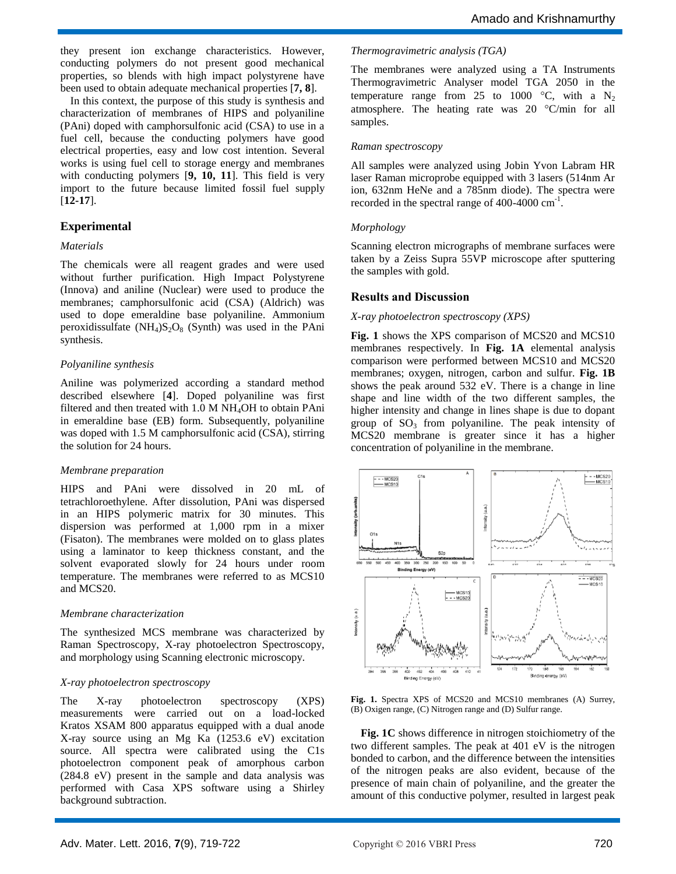they present ion exchange characteristics. However, conducting polymers do not present good mechanical properties, so blends with high impact polystyrene have been used to obtain adequate mechanical properties [**7, 8**].

In this context, the purpose of this study is synthesis and characterization of membranes of HIPS and polyaniline (PAni) doped with camphorsulfonic acid (CSA) to use in a fuel cell, because the conducting polymers have good electrical properties, easy and low cost intention. Several works is using fuel cell to storage energy and membranes with conducting polymers [**9, 10, 11**]. This field is very import to the future because limited fossil fuel supply [**12-17**].

### **Experimental**

#### *Materials*

The chemicals were all reagent grades and were used without further purification. High Impact Polystyrene (Innova) and aniline (Nuclear) were used to produce the membranes; camphorsulfonic acid (CSA) (Aldrich) was used to dope emeraldine base polyaniline. Ammonium peroxidissulfate  $(NH_4)S_2O_8$  (Synth) was used in the PAni synthesis.

#### *Polyaniline synthesis*

Aniline was polymerized according a standard method described elsewhere [**4**]. Doped polyaniline was first filtered and then treated with 1.0 M NH<sub>4</sub>OH to obtain PAni in emeraldine base (EB) form. Subsequently, polyaniline was doped with 1.5 M camphorsulfonic acid (CSA), stirring the solution for 24 hours.

#### *Membrane preparation*

HIPS and PAni were dissolved in 20 mL of tetrachloroethylene. After dissolution, PAni was dispersed in an HIPS polymeric matrix for 30 minutes. This dispersion was performed at 1,000 rpm in a mixer (Fisaton). The membranes were molded on to glass plates using a laminator to keep thickness constant, and the solvent evaporated slowly for 24 hours under room temperature. The membranes were referred to as MCS10 and MCS20.

#### *Membrane characterization*

The synthesized MCS membrane was characterized by Raman Spectroscopy, X-ray photoelectron Spectroscopy, and morphology using Scanning electronic microscopy.

#### *X-ray photoelectron spectroscopy*

The X-ray photoelectron spectroscopy (XPS) measurements were carried out on a load-locked Kratos XSAM 800 apparatus equipped with a dual anode X-ray source using an Mg Ka (1253.6 eV) excitation source. All spectra were calibrated using the C1s photoelectron component peak of amorphous carbon (284.8 eV) present in the sample and data analysis was performed with Casa XPS software using a Shirley background subtraction.

#### *Thermogravimetric analysis (TGA)*

The membranes were analyzed using a TA Instruments Thermogravimetric Analyser model TGA 2050 in the temperature range from 25 to 1000  $\degree$ C, with a N<sub>2</sub> atmosphere. The heating rate was 20 °C/min for all samples.

#### *Raman spectroscopy*

All samples were analyzed using Jobin Yvon Labram HR laser Raman microprobe equipped with 3 lasers (514nm Ar ion, 632nm HeNe and a 785nm diode). The spectra were recorded in the spectral range of  $400-4000 \text{ cm}^{-1}$ .

#### *Morphology*

Scanning electron micrographs of membrane surfaces were taken by a Zeiss Supra 55VP microscope after sputtering the samples with gold.

### **Results and Discussion**

#### *X-ray photoelectron spectroscopy (XPS)*

**Fig. 1** shows the XPS comparison of MCS20 and MCS10 membranes respectively. In **Fig. 1A** elemental analysis comparison were performed between MCS10 and MCS20 membranes; oxygen, nitrogen, carbon and sulfur. **Fig. 1B** shows the peak around 532 eV. There is a change in line shape and line width of the two different samples, the higher intensity and change in lines shape is due to dopant group of  $SO_3$  from polyaniline. The peak intensity of MCS20 membrane is greater since it has a higher concentration of polyaniline in the membrane.



**Fig. 1.** Spectra XPS of MCS20 and MCS10 membranes (A) Surrey, (B) Oxigen range, (C) Nitrogen range and (D) Sulfur range.

**Fig. 1C** shows difference in nitrogen stoichiometry of the two different samples. The peak at 401 eV is the nitrogen bonded to carbon, and the difference between the intensities of the nitrogen peaks are also evident, because of the presence of main chain of polyaniline, and the greater the amount of this conductive polymer, resulted in largest peak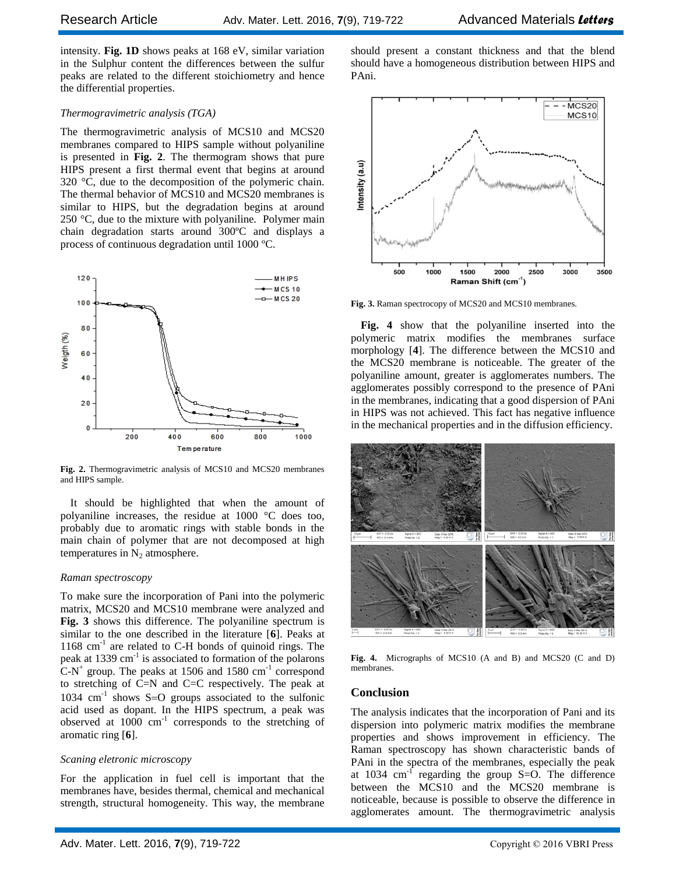intensity. **Fig. 1D** shows peaks at 168 eV, similar variation in the Sulphur content the differences between the sulfur peaks are related to the different stoichiometry and hence the differential properties.

#### *Thermogravimetric analysis (TGA)*

The thermogravimetric analysis of MCS10 and MCS20 membranes compared to HIPS sample without polyaniline is presented in **Fig. 2**. The thermogram shows that pure HIPS present a first thermal event that begins at around 320 °C, due to the decomposition of the polymeric chain. The thermal behavior of MCS10 and MCS20 membranes is similar to HIPS, but the degradation begins at around 250 °C, due to the mixture with polyaniline. Polymer main chain degradation starts around 300ºC and displays a process of continuous degradation until 1000 ºC.



**Fig. 2.** Thermogravimetric analysis of MCS10 and MCS20 membranes and HIPS sample.

It should be highlighted that when the amount of polyaniline increases, the residue at 1000 °C does too, probably due to aromatic rings with stable bonds in the main chain of polymer that are not decomposed at high temperatures in  $N_2$  atmosphere.

#### *Raman spectroscopy*

To make sure the incorporation of Pani into the polymeric matrix, MCS20 and MCS10 membrane were analyzed and **Fig. 3** shows this difference. The polyaniline spectrum is similar to the one described in the literature [**6**]. Peaks at 1168 cm<sup>-1</sup> are related to C-H bonds of quinoid rings. The peak at 1339 cm<sup>-1</sup> is associated to formation of the polarons  $C-N^+$  group. The peaks at 1506 and 1580 cm<sup>-1</sup> correspond to stretching of C=N and C=C respectively. The peak at 1034  $cm^{-1}$  shows S=O groups associated to the sulfonic acid used as dopant. In the HIPS spectrum, a peak was observed at  $1000 \text{ cm}^{-1}$  corresponds to the stretching of aromatic ring [**6**].

#### *Scaning eletronic microscopy*

For the application in fuel cell is important that the membranes have, besides thermal, chemical and mechanical strength, structural homogeneity. This way, the membrane should present a constant thickness and that the blend should have a homogeneous distribution between HIPS and PAni.



**Fig. 3.** Raman spectrocopy of MCS20 and MCS10 membranes.

**Fig. 4** show that the polyaniline inserted into the polymeric matrix modifies the membranes surface morphology [**4**]. The difference between the MCS10 and the MCS20 membrane is noticeable. The greater of the polyaniline amount, greater is agglomerates numbers. The agglomerates possibly correspond to the presence of PAni in the membranes, indicating that a good dispersion of PAni in HIPS was not achieved. This fact has negative influence in the mechanical properties and in the diffusion efficiency.



**Fig. 4.** Micrographs of MCS10 (A and B) and MCS20 (C and D) membranes.

#### **Conclusion**

The analysis indicates that the incorporation of Pani and its dispersion into polymeric matrix modifies the membrane properties and shows improvement in efficiency. The Raman spectroscopy has shown characteristic bands of PAni in the spectra of the membranes, especially the peak at 1034  $\text{cm}^{-1}$  regarding the group S=O. The difference between the MCS10 and the MCS20 membrane is noticeable, because is possible to observe the difference in agglomerates amount. The thermogravimetric analysis